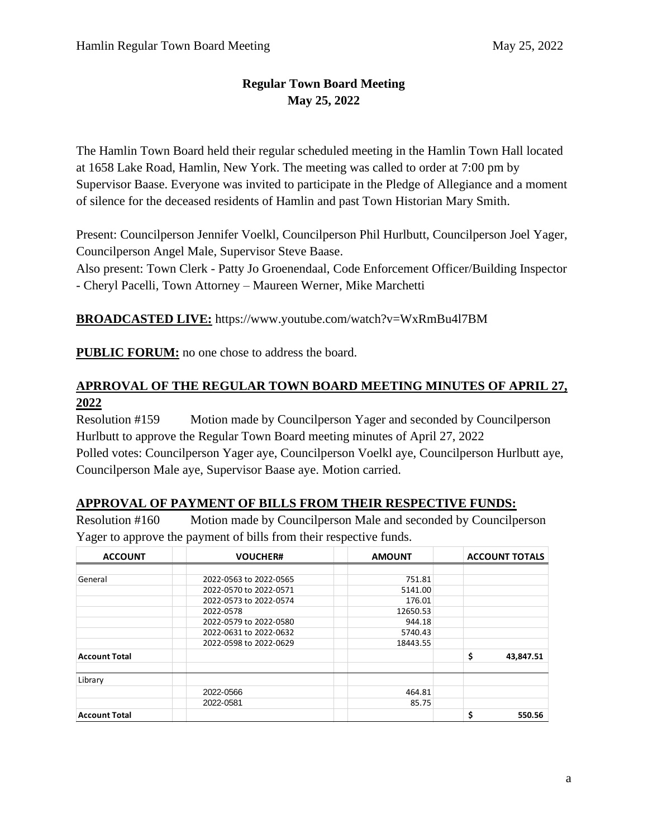## **Regular Town Board Meeting May 25, 2022**

The Hamlin Town Board held their regular scheduled meeting in the Hamlin Town Hall located at 1658 Lake Road, Hamlin, New York. The meeting was called to order at 7:00 pm by Supervisor Baase. Everyone was invited to participate in the Pledge of Allegiance and a moment of silence for the deceased residents of Hamlin and past Town Historian Mary Smith.

Present: Councilperson Jennifer Voelkl, Councilperson Phil Hurlbutt, Councilperson Joel Yager, Councilperson Angel Male, Supervisor Steve Baase.

Also present: Town Clerk - Patty Jo Groenendaal, Code Enforcement Officer/Building Inspector - Cheryl Pacelli, Town Attorney – Maureen Werner, Mike Marchetti

**BROADCASTED LIVE:** https://www.youtube.com/watch?v=WxRmBu4l7BM

**PUBLIC FORUM:** no one chose to address the board.

## **APRROVAL OF THE REGULAR TOWN BOARD MEETING MINUTES OF APRIL 27, 2022**

Resolution #159 Motion made by Councilperson Yager and seconded by Councilperson Hurlbutt to approve the Regular Town Board meeting minutes of April 27, 2022 Polled votes: Councilperson Yager aye, Councilperson Voelkl aye, Councilperson Hurlbutt aye, Councilperson Male aye, Supervisor Baase aye. Motion carried.

#### **APPROVAL OF PAYMENT OF BILLS FROM THEIR RESPECTIVE FUNDS:**

Resolution #160 Motion made by Councilperson Male and seconded by Councilperson Yager to approve the payment of bills from their respective funds.

| <b>ACCOUNT</b>       | <b>VOUCHER#</b>        | <b>AMOUNT</b> | <b>ACCOUNT TOTALS</b> |
|----------------------|------------------------|---------------|-----------------------|
|                      |                        |               |                       |
| General              | 2022-0563 to 2022-0565 | 751.81        |                       |
|                      | 2022-0570 to 2022-0571 | 5141.00       |                       |
|                      | 2022-0573 to 2022-0574 | 176.01        |                       |
|                      | 2022-0578              | 12650.53      |                       |
|                      | 2022-0579 to 2022-0580 | 944.18        |                       |
|                      | 2022-0631 to 2022-0632 | 5740.43       |                       |
|                      | 2022-0598 to 2022-0629 | 18443.55      |                       |
| <b>Account Total</b> |                        |               | \$<br>43,847.51       |
| Library              |                        |               |                       |
|                      | 2022-0566              | 464.81        |                       |
|                      | 2022-0581              | 85.75         |                       |
| <b>Account Total</b> |                        |               | \$<br>550.56          |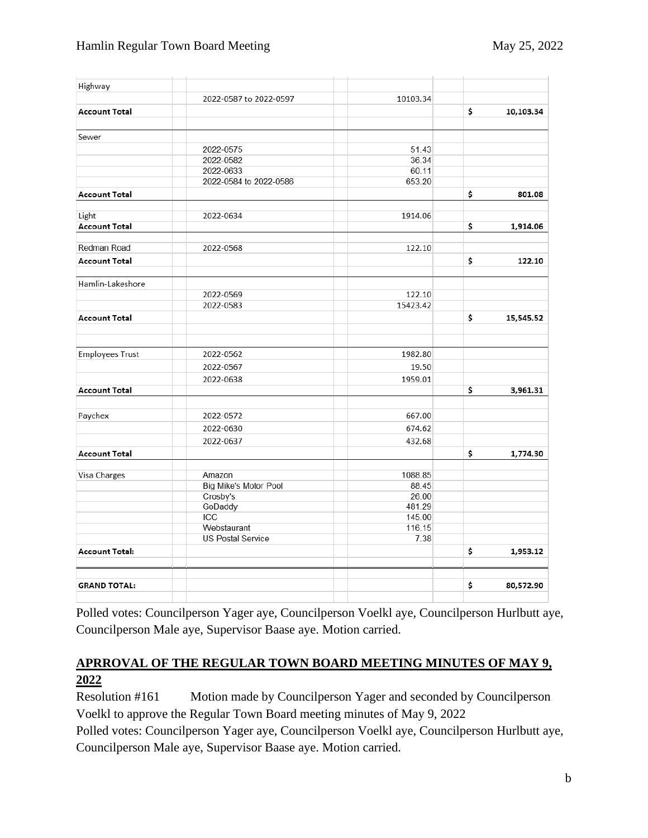| 2022-0587 to 2022-0597 | 10103.34                                                                                                      |                                                         |           |
|------------------------|---------------------------------------------------------------------------------------------------------------|---------------------------------------------------------|-----------|
|                        |                                                                                                               | \$                                                      | 10,103.34 |
|                        |                                                                                                               |                                                         |           |
|                        | 51.43                                                                                                         |                                                         |           |
| 2022-0582              | 36.34                                                                                                         |                                                         |           |
| 2022-0633              | 60.11                                                                                                         |                                                         |           |
| 2022-0584 to 2022-0586 | 653.20                                                                                                        |                                                         |           |
|                        |                                                                                                               | \$                                                      | 801.08    |
| 2022-0634              | 1914.06                                                                                                       |                                                         |           |
|                        |                                                                                                               | \$                                                      | 1,914.06  |
| 2022-0568              | 122.10                                                                                                        |                                                         |           |
|                        |                                                                                                               | \$                                                      | 122.10    |
|                        |                                                                                                               |                                                         |           |
| 2022-0569              | 122.10                                                                                                        |                                                         |           |
| 2022-0583              | 15423.42                                                                                                      |                                                         |           |
|                        |                                                                                                               | \$                                                      | 15,545.52 |
|                        |                                                                                                               |                                                         |           |
|                        |                                                                                                               |                                                         |           |
|                        |                                                                                                               |                                                         |           |
|                        |                                                                                                               | \$                                                      | 3,961.31  |
|                        |                                                                                                               |                                                         |           |
| 2022-0572              | 667.00                                                                                                        |                                                         |           |
| 2022-0630              | 674.62                                                                                                        |                                                         |           |
| 2022-0637              | 432.68                                                                                                        |                                                         |           |
|                        |                                                                                                               | \$                                                      | 1,774.30  |
| Amazon                 | 1088.85                                                                                                       |                                                         |           |
| Big Mike's Motor Pool  | 88.45                                                                                                         |                                                         |           |
| Crosby's               | 26.00                                                                                                         |                                                         |           |
|                        | 481.29                                                                                                        |                                                         |           |
|                        |                                                                                                               |                                                         |           |
|                        |                                                                                                               |                                                         |           |
|                        |                                                                                                               |                                                         |           |
|                        |                                                                                                               |                                                         | 1,953.12  |
|                        |                                                                                                               | \$                                                      | 80,572.90 |
|                        | 2022-0575<br>2022-0562<br>2022-0567<br>2022-0638<br>GoDaddy<br>ICC<br>Webstaurant<br><b>US Postal Service</b> | 1982.80<br>19.50<br>1959.01<br>145.00<br>116.15<br>7.38 | \$        |

Polled votes: Councilperson Yager aye, Councilperson Voelkl aye, Councilperson Hurlbutt aye, Councilperson Male aye, Supervisor Baase aye. Motion carried.

### **APRROVAL OF THE REGULAR TOWN BOARD MEETING MINUTES OF MAY 9, 2022**

Resolution #161 Motion made by Councilperson Yager and seconded by Councilperson Voelkl to approve the Regular Town Board meeting minutes of May 9, 2022

Polled votes: Councilperson Yager aye, Councilperson Voelkl aye, Councilperson Hurlbutt aye, Councilperson Male aye, Supervisor Baase aye. Motion carried.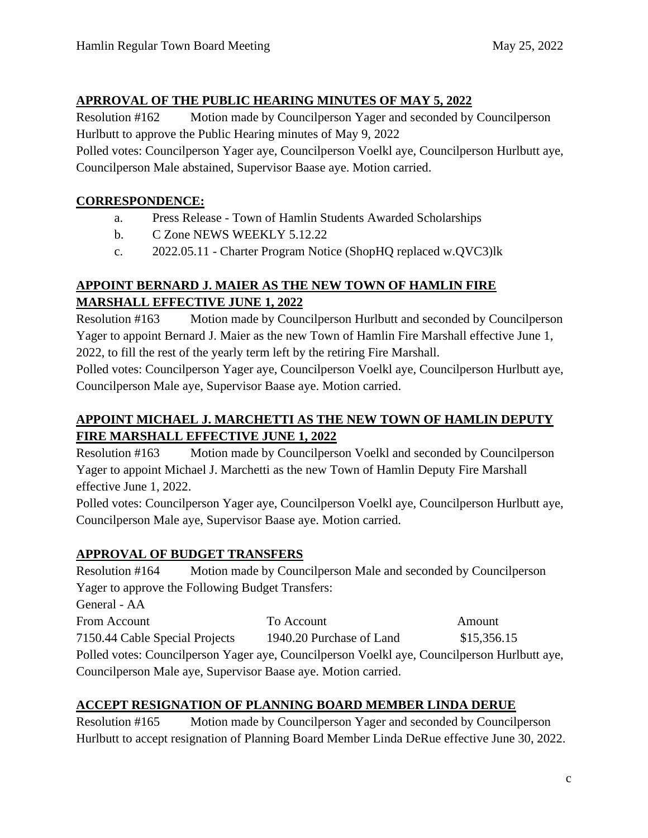#### **APRROVAL OF THE PUBLIC HEARING MINUTES OF MAY 5, 2022**

Resolution #162 Motion made by Councilperson Yager and seconded by Councilperson Hurlbutt to approve the Public Hearing minutes of May 9, 2022

Polled votes: Councilperson Yager aye, Councilperson Voelkl aye, Councilperson Hurlbutt aye, Councilperson Male abstained, Supervisor Baase aye. Motion carried.

### **CORRESPONDENCE:**

- a. Press Release Town of Hamlin Students Awarded Scholarships
- b. C Zone NEWS WEEKLY 5.12.22
- c. 2022.05.11 Charter Program Notice (ShopHQ replaced w.QVC3)lk

#### **APPOINT BERNARD J. MAIER AS THE NEW TOWN OF HAMLIN FIRE MARSHALL EFFECTIVE JUNE 1, 2022**

Resolution #163 Motion made by Councilperson Hurlbutt and seconded by Councilperson Yager to appoint Bernard J. Maier as the new Town of Hamlin Fire Marshall effective June 1, 2022, to fill the rest of the yearly term left by the retiring Fire Marshall.

Polled votes: Councilperson Yager aye, Councilperson Voelkl aye, Councilperson Hurlbutt aye, Councilperson Male aye, Supervisor Baase aye. Motion carried.

## **APPOINT MICHAEL J. MARCHETTI AS THE NEW TOWN OF HAMLIN DEPUTY FIRE MARSHALL EFFECTIVE JUNE 1, 2022**

Resolution #163 Motion made by Councilperson Voelkl and seconded by Councilperson Yager to appoint Michael J. Marchetti as the new Town of Hamlin Deputy Fire Marshall effective June 1, 2022.

Polled votes: Councilperson Yager aye, Councilperson Voelkl aye, Councilperson Hurlbutt aye, Councilperson Male aye, Supervisor Baase aye. Motion carried.

# **APPROVAL OF BUDGET TRANSFERS**

Resolution #164 Motion made by Councilperson Male and seconded by Councilperson Yager to approve the Following Budget Transfers:

General - AA

From Account To Account To Account Amount 7150.44 Cable Special Projects 1940.20 Purchase of Land \$15,356.15 Polled votes: Councilperson Yager aye, Councilperson Voelkl aye, Councilperson Hurlbutt aye, Councilperson Male aye, Supervisor Baase aye. Motion carried.

## **ACCEPT RESIGNATION OF PLANNING BOARD MEMBER LINDA DERUE**

Resolution #165 Motion made by Councilperson Yager and seconded by Councilperson Hurlbutt to accept resignation of Planning Board Member Linda DeRue effective June 30, 2022.